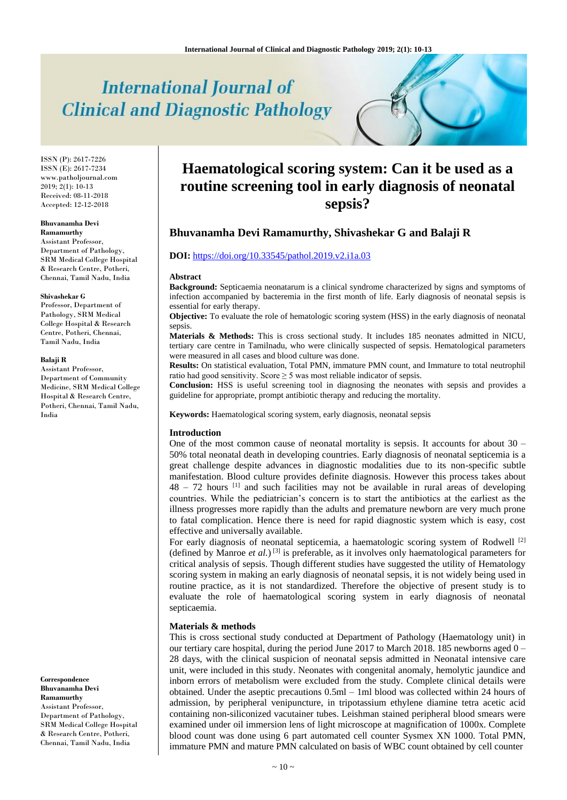# **International Journal of Clinical and Diagnostic Pathology**

ISSN (P): 2617-7226 ISSN (E): 2617-7234 www.patholjournal.com  $2019; 2(1): 10-13$ Received: 08-11-2018 Accepted: 12-12-2018

### **Bhuvanamha Devi**

**Ramamurthy** Assistant Professor, Department of Pathology, SRM Medical College Hospital & Research Centre, Potheri, Chennai, Tamil Nadu, India

#### **Shivashekar G**

Professor, Department of Pathology, SRM Medical College Hospital & Research Centre, Potheri, Chennai, Tamil Nadu, India

#### **Balaji R**

Assistant Professor, Department of Community Medicine, SRM Medical College Hospital & Research Centre, Potheri, Chennai, Tamil Nadu, India

**Correspondence Bhuvanamha Devi Ramamurthy** Assistant Professor, Department of Pathology, SRM Medical College Hospital & Research Centre, Potheri, Chennai, Tamil Nadu, India

# **Haematological scoring system: Can it be used as a routine screening tool in early diagnosis of neonatal sepsis?**

# **Bhuvanamha Devi Ramamurthy, Shivashekar G and Balaji R**

## **DOI:** <https://doi.org/10.33545/pathol.2019.v2.i1a.03>

#### **Abstract**

**Background:** Septicaemia neonatarum is a clinical syndrome characterized by signs and symptoms of infection accompanied by bacteremia in the first month of life. Early diagnosis of neonatal sepsis is essential for early therapy.

**Objective:** To evaluate the role of hematologic scoring system (HSS) in the early diagnosis of neonatal sepsis.

**Materials & Methods:** This is cross sectional study. It includes 185 neonates admitted in NICU, tertiary care centre in Tamilnadu, who were clinically suspected of sepsis. Hematological parameters were measured in all cases and blood culture was done.

**Results:** On statistical evaluation, Total PMN, immature PMN count, and Immature to total neutrophil ratio had good sensitivity. Score  $\geq$  5 was most reliable indicator of sepsis.

**Conclusion:** HSS is useful screening tool in diagnosing the neonates with sepsis and provides a guideline for appropriate, prompt antibiotic therapy and reducing the mortality.

**Keywords:** Haematological scoring system, early diagnosis, neonatal sepsis

# **Introduction**

One of the most common cause of neonatal mortality is sepsis. It accounts for about  $30 -$ 50% total neonatal death in developing countries. Early diagnosis of neonatal septicemia is a great challenge despite advances in diagnostic modalities due to its non-specific subtle manifestation. Blood culture provides definite diagnosis. However this process takes about  $48 - 72$  hours <sup>[1]</sup> and such facilities may not be available in rural areas of developing countries. While the pediatrician's concern is to start the antibiotics at the earliest as the illness progresses more rapidly than the adults and premature newborn are very much prone to fatal complication. Hence there is need for rapid diagnostic system which is easy, cost effective and universally available.

For early diagnosis of neonatal septicemia, a haematologic scoring system of Rodwell [2] (defined by Manroe *et al.*) [3] is preferable, as it involves only haematological parameters for critical analysis of sepsis. Though different studies have suggested the utility of Hematology scoring system in making an early diagnosis of neonatal sepsis, it is not widely being used in routine practice, as it is not standardized. Therefore the objective of present study is to evaluate the role of haematological scoring system in early diagnosis of neonatal septicaemia.

#### **Materials & methods**

This is cross sectional study conducted at Department of Pathology (Haematology unit) in our tertiary care hospital, during the period June 2017 to March 2018. 185 newborns aged 0 – 28 days, with the clinical suspicion of neonatal sepsis admitted in Neonatal intensive care unit, were included in this study. Neonates with congenital anomaly, hemolytic jaundice and inborn errors of metabolism were excluded from the study. Complete clinical details were obtained. Under the aseptic precautions 0.5ml – 1ml blood was collected within 24 hours of admission, by peripheral venipuncture, in tripotassium ethylene diamine tetra acetic acid containing non-siliconized vacutainer tubes. Leishman stained peripheral blood smears were examined under oil immersion lens of light microscope at magnification of 1000x. Complete blood count was done using 6 part automated cell counter Sysmex XN 1000. Total PMN, immature PMN and mature PMN calculated on basis of WBC count obtained by cell counter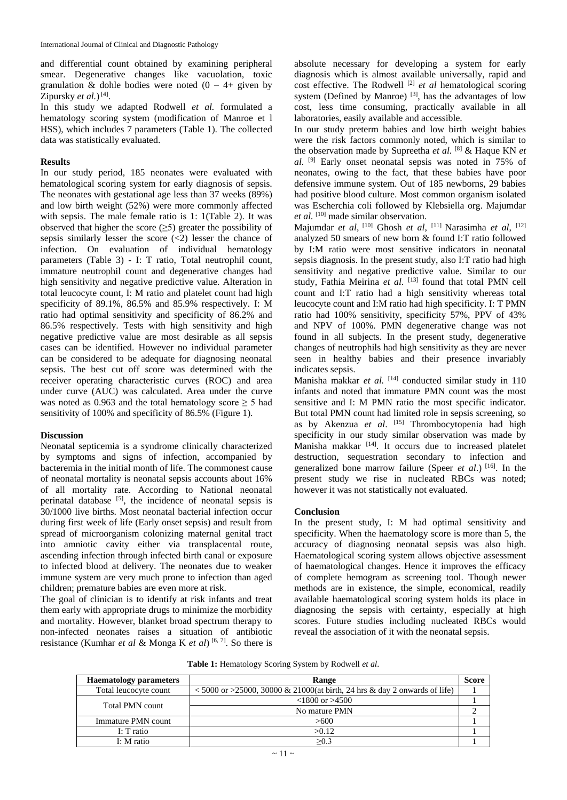and differential count obtained by examining peripheral smear. Degenerative changes like vacuolation, toxic granulation & dohle bodies were noted  $(0 - 4+)$  given by Zipursky *et al.*)<sup>[4]</sup>.

In this study we adapted Rodwell *et al.* formulated a hematology scoring system (modification of Manroe et l HSS), which includes 7 parameters (Table 1). The collected data was statistically evaluated.

# **Results**

In our study period, 185 neonates were evaluated with hematological scoring system for early diagnosis of sepsis. The neonates with gestational age less than 37 weeks (89%) and low birth weight (52%) were more commonly affected with sepsis. The male female ratio is 1: 1(Table 2). It was observed that higher the score  $(\geq 5)$  greater the possibility of sepsis similarly lesser the score  $\langle \langle 2 \rangle$  lesser the chance of infection. On evaluation of individual hematology parameters (Table 3) - I: T ratio, Total neutrophil count, immature neutrophil count and degenerative changes had high sensitivity and negative predictive value. Alteration in total leucocyte count, I: M ratio and platelet count had high specificity of 89.1%, 86.5% and 85.9% respectively. I: M ratio had optimal sensitivity and specificity of 86.2% and 86.5% respectively. Tests with high sensitivity and high negative predictive value are most desirable as all sepsis cases can be identified. However no individual parameter can be considered to be adequate for diagnosing neonatal sepsis. The best cut off score was determined with the receiver operating characteristic curves (ROC) and area under curve (AUC) was calculated. Area under the curve was noted as 0.963 and the total hematology score  $\geq$  5 had sensitivity of 100% and specificity of 86.5% (Figure 1).

# **Discussion**

Neonatal septicemia is a syndrome clinically characterized by symptoms and signs of infection, accompanied by bacteremia in the initial month of life. The commonest cause of neonatal mortality is neonatal sepsis accounts about 16% of all mortality rate. According to National neonatal perinatal database [5], the incidence of neonatal sepsis is 30/1000 live births. Most neonatal bacterial infection occur during first week of life (Early onset sepsis) and result from spread of microorganism colonizing maternal genital tract into amniotic cavity either via transplacental route, ascending infection through infected birth canal or exposure to infected blood at delivery. The neonates due to weaker immune system are very much prone to infection than aged children; premature babies are even more at risk.

The goal of clinician is to identify at risk infants and treat them early with appropriate drugs to minimize the morbidity and mortality. However, blanket broad spectrum therapy to non-infected neonates raises a situation of antibiotic resistance (Kumhar *et al* & Monga K *et al*) [6, 7] . So there is

absolute necessary for developing a system for early diagnosis which is almost available universally, rapid and cost effective. The Rodwell<sup>[2]</sup> et al hematological scoring system (Defined by Manroe)  $[3]$ , has the advantages of low cost, less time consuming, practically available in all laboratories, easily available and accessible.

In our study preterm babies and low birth weight babies were the risk factors commonly noted, which is similar to the observation made by Supreetha *et al.*  [8] & Haque KN *et al*. [9] Early onset neonatal sepsis was noted in 75% of neonates, owing to the fact, that these babies have poor defensive immune system. Out of 185 newborns, 29 babies had positive blood culture. Most common organism isolated was Escherchia coli followed by Klebsiella org. Majumdar et al. <sup>[10]</sup> made similar observation.

Majumdar *et al*, <sup>[10]</sup> Ghosh *et al*, <sup>[11]</sup> Narasimha *et al*, <sup>[12]</sup> analyzed 50 smears of new born & found I:T ratio followed by I:M ratio were most sensitive indicators in neonatal sepsis diagnosis. In the present study, also I:T ratio had high sensitivity and negative predictive value. Similar to our study, Fathia Meirina et al. [13] found that total PMN cell count and I:T ratio had a high sensitivity whereas total leucocyte count and I:M ratio had high specificity. I: T PMN ratio had 100% sensitivity, specificity 57%, PPV of 43% and NPV of 100%. PMN degenerative change was not found in all subjects. In the present study, degenerative changes of neutrophils had high sensitivity as they are never seen in healthy babies and their presence invariably indicates sepsis.

Manisha makkar et al. <sup>[14]</sup> conducted similar study in 110 infants and noted that immature PMN count was the most sensitive and I: M PMN ratio the most specific indicator. But total PMN count had limited role in sepsis screening, so as by Akenzua *et al*. [15] Thrombocytopenia had high specificity in our study similar observation was made by Manisha makkar [14]. It occurs due to increased platelet destruction, sequestration secondary to infection and generalized bone marrow failure (Speer *et al*.) [16]. In the present study we rise in nucleated RBCs was noted; however it was not statistically not evaluated.

# **Conclusion**

In the present study, I: M had optimal sensitivity and specificity. When the haematology score is more than 5, the accuracy of diagnosing neonatal sepsis was also high. Haematological scoring system allows objective assessment of haematological changes. Hence it improves the efficacy of complete hemogram as screening tool. Though newer methods are in existence, the simple, economical, readily available haematological scoring system holds its place in diagnosing the sepsis with certainty, especially at high scores. Future studies including nucleated RBCs would reveal the association of it with the neonatal sepsis.

| <b>Haematology parameters</b> | Range                                                                                       | <b>Score</b> |
|-------------------------------|---------------------------------------------------------------------------------------------|--------------|
| Total leucocyte count         | $\langle 5000 \text{ or } 25000, 30000 \& 21000$ (at birth, 24 hrs & day 2 onwards of life) |              |
| Total PMN count               | $<1800$ or $>4500$                                                                          |              |
|                               | No mature PMN                                                                               |              |
| Immature PMN count            | >600                                                                                        |              |
| I: T ratio                    | >0.12                                                                                       |              |
| I: M ratio                    | >0.3                                                                                        |              |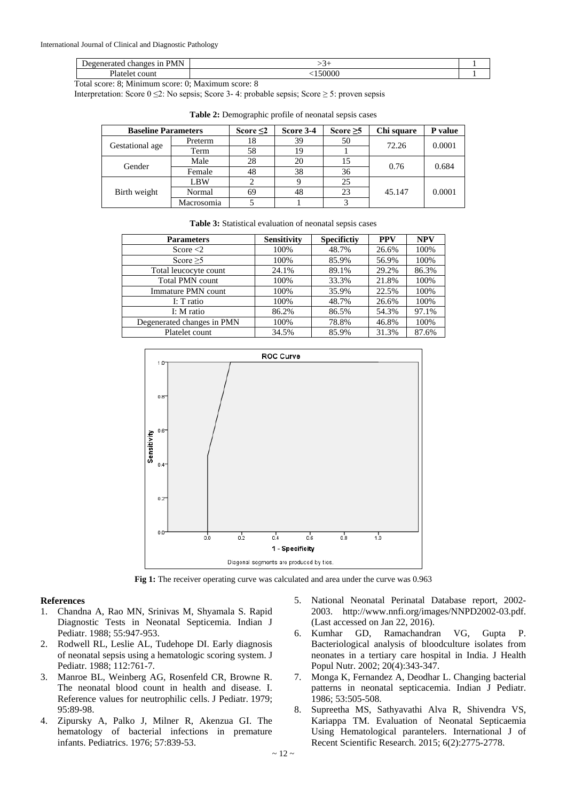| <b>PMN</b><br>Jeganers<br>120 O P.S<br>--<br>-<br>. ат<br>. .<br>T TATT.<br> | $\overline{\phantom{a}}$ |  |
|------------------------------------------------------------------------------|--------------------------|--|
| $\mathbf{r}$<br>™un.<br>таг<br>∾ı⊬                                           | $F\Omega$ 00             |  |

Total score: 8; Minimum score: 0; Maximum score: 8

Interpretation: Score  $0 \le 2$ : No sepsis; Score 3-4: probable sepsis; Score  $\ge 5$ : proven sepsis

| <b>Baseline Parameters</b> |            | Score $\leq 2$ | Score 3-4 | Score $\geq 5$ | Chi square | P value |
|----------------------------|------------|----------------|-----------|----------------|------------|---------|
| Gestational age            | Preterm    | 18             | 39        | 50             | 72.26      | 0.0001  |
|                            | Term       | 58             | 19        |                |            |         |
| Gender                     | Male       | 28             | 20        | 15             | 0.76       | 0.684   |
|                            | Female     | 48             | 38        | 36             |            |         |
| Birth weight               | LBW        |                |           | 25             |            |         |
|                            | Normal     | 69             | 48        | 23             | 45.147     | 0.0001  |
|                            | Macrosomia |                |           |                |            |         |

**Table 2:** Demographic profile of neonatal sepsis cases

|  |  |  |  | <b>Table 3:</b> Statistical evaluation of neonatal sepsis cases |
|--|--|--|--|-----------------------------------------------------------------|
|--|--|--|--|-----------------------------------------------------------------|

| <b>Parameters</b>          | <b>Sensitivity</b> | <b>Specifictiv</b> | <b>PPV</b> | <b>NPV</b> |
|----------------------------|--------------------|--------------------|------------|------------|
| Score $<$ 2                | 100%               | 48.7%              | 26.6%      | 100%       |
| Score $\geq 5$             | 100%               | 85.9%              | 56.9%      | 100%       |
| Total leucocyte count      | 24.1%              | 89.1%              | 29.2%      | 86.3%      |
| <b>Total PMN count</b>     | 100%               | 33.3%              | 21.8%      | 100%       |
| Immature PMN count         | 100%               | 35.9%              | 22.5%      | 100%       |
| I: T ratio                 | 100%               | 48.7%              | 26.6%      | 100%       |
| I: M ratio                 | 86.2%              | 86.5%              | 54.3%      | 97.1%      |
| Degenerated changes in PMN | 100%               | 78.8%              | 46.8%      | 100%       |
| Platelet count             | 34.5%              | 85.9%              | 31.3%      | 87.6%      |



Fig 1: The receiver operating curve was calculated and area under the curve was 0.963

# **References**

- 1. Chandna A, Rao MN, Srinivas M, Shyamala S. Rapid Diagnostic Tests in Neonatal Septicemia. Indian J Pediatr. 1988; 55:947-953.
- 2. Rodwell RL, Leslie AL, Tudehope DI. Early diagnosis of neonatal sepsis using a hematologic scoring system. J Pediatr. 1988; 112:761-7.
- 3. Manroe BL, Weinberg AG, Rosenfeld CR, Browne R. The neonatal blood count in health and disease. I. Reference values for neutrophilic cells. J Pediatr. 1979; 95:89-98.
- 4. Zipursky A, Palko J, Milner R, Akenzua GI. The hematology of bacterial infections in premature infants. Pediatrics. 1976; 57:839-53.
- 5. National Neonatal Perinatal Database report, 2002- 2003. http://www.nnfi.org/images/NNPD2002-03.pdf. (Last accessed on Jan 22, 2016).
- 6. Kumhar GD, Ramachandran VG, Gupta P. Bacteriological analysis of bloodculture isolates from neonates in a tertiary care hospital in India. J Health Popul Nutr. 2002; 20(4):343-347.
- 7. Monga K, Fernandez A, Deodhar L. Changing bacterial patterns in neonatal septicacemia. Indian J Pediatr. 1986; 53:505-508.
- 8. Supreetha MS, Sathyavathi Alva R, Shivendra VS, Kariappa TM. Evaluation of Neonatal Septicaemia Using Hematological parantelers. International J of Recent Scientific Research. 2015; 6(2):2775-2778.